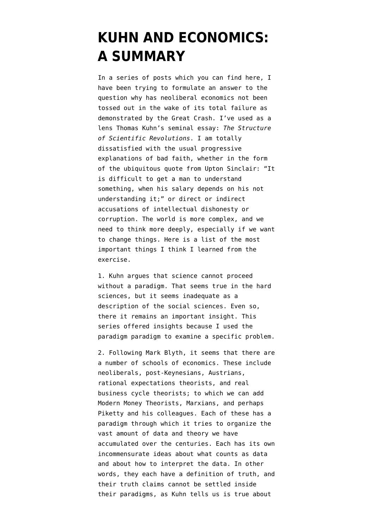## **[KUHN AND ECONOMICS:](https://www.emptywheel.net/2015/06/28/kuhn-and-economics-a-summary/) [A SUMMARY](https://www.emptywheel.net/2015/06/28/kuhn-and-economics-a-summary/)**

In a series of posts which [you can find here](https://www.emptywheel.net/author/masaccio/), I have been trying to formulate an answer to the question why has neoliberal economics not been tossed out in the wake of its total failure as demonstrated by the Great Crash. I've used as a lens Thomas Kuhn's seminal essay: *[The Structure](http://projektintegracija.pravo.hr/_download/repository/Kuhn_Structure_of_Scientific_Revolutions.pdf) [of Scientific Revolutions](http://projektintegracija.pravo.hr/_download/repository/Kuhn_Structure_of_Scientific_Revolutions.pdf)*. I am totally dissatisfied with the usual progressive explanations of bad faith, whether in the form of the ubiquitous quote from Upton Sinclair: "It is difficult to get a man to understand something, when his salary depends on his not understanding it;" or direct or indirect accusations of intellectual dishonesty or corruption. The world is more complex, and we need to think more deeply, especially if we want to change things. Here is a list of the most important things I think I learned from the exercise.

1. Kuhn argues that science cannot proceed without a paradigm. That seems true in the hard sciences, but it seems inadequate as a description of the social sciences. Even so, there it remains an important insight. This series offered insights because I used the paradigm paradigm to examine a specific problem.

2. Following Mark Blyth, it seems that there are a number of schools of economics. These include neoliberals, post-Keynesians, Austrians, rational expectations theorists, and real business cycle theorists; to which we can add Modern Money Theorists, Marxians, and perhaps Piketty and his colleagues. Each of these has a paradigm through which it tries to organize the vast amount of data and theory we have accumulated over the centuries. Each has its own incommensurate ideas about what counts as data and about how to interpret the data. In other words, they each have a definition of truth, and their truth claims cannot be settled inside their paradigms, as Kuhn tells us is true about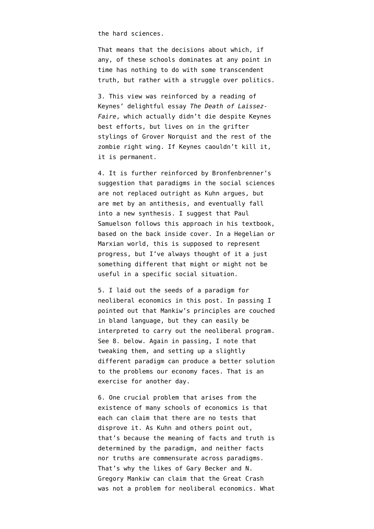the hard sciences.

That means that the decisions about which, if any, of these schools dominates at any point in time has nothing to do with some transcendent truth, but rather with a struggle over politics.

3. This view was reinforced by a reading of Keynes' delightful essay *[The Death of Laissez-](http://www.panarchy.org/keynes/laissezfaire.1926.html)[Faire](http://www.panarchy.org/keynes/laissezfaire.1926.html)*, which actually didn't die despite Keynes best efforts, but lives on in the grifter stylings of Grover Norquist and the rest of the zombie right wing. If Keynes caouldn't kill it, it is permanent.

4. It is further reinforced by Bronfenbrenner's suggestion that paradigms in the social sciences are not replaced outright as Kuhn argues, but are met by an antithesis, and eventually fall into a new synthesis. I suggest that Paul Samuelson follows this approach in his textbook, based on the back inside cover. In a Hegelian or Marxian world, this is supposed to represent progress, but I've always thought of it a just something different that might or might not be useful in a specific social situation.

5. I laid out the seeds of a paradigm for neoliberal economics [in this post.](https://www.emptywheel.net/2015/06/21/pragmatic-aspects-of-paradigm-change-according-to-kuhn/) In passing I pointed out that Mankiw's principles are couched in bland language, but they can easily be interpreted to carry out the neoliberal program. See 8. below. Again in passing, I note that tweaking them, and setting up a slightly different paradigm can produce a better solution to the problems our economy faces. That is an exercise for another day.

6. One crucial problem that arises from the existence of many schools of economics is that each can claim that there are no tests that disprove it. As Kuhn and others point out, that's because the meaning of facts and truth is determined by the paradigm, and neither facts nor truths are commensurate across paradigms. That's why the likes of Gary Becker and N. Gregory Mankiw can claim that the Great Crash was not a problem for neoliberal economics. What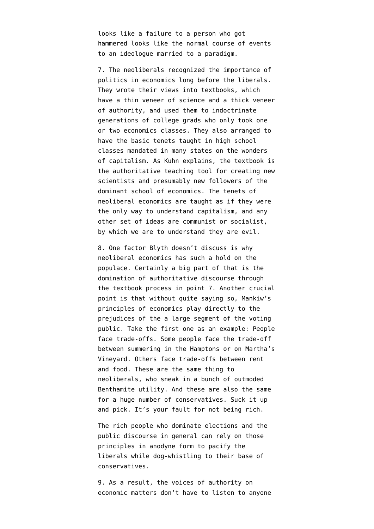looks like a failure to a person who got hammered looks like the normal course of events to an ideologue married to a paradigm.

7. The neoliberals recognized the importance of politics in economics long before the liberals. They wrote their views into textbooks, which have a thin veneer of science and a thick veneer of authority, and used them to indoctrinate generations of college grads who only took one or two economics classes. They also arranged to have the basic tenets taught in high school classes mandated in many states on the wonders of capitalism. As Kuhn explains, the textbook is the authoritative teaching tool for creating new scientists and presumably new followers of the dominant school of economics. The tenets of neoliberal economics are taught as if they were the only way to understand capitalism, and any other set of ideas are communist or socialist, by which we are to understand they are evil.

8. One factor Blyth doesn't discuss is why neoliberal economics has such a hold on the populace. Certainly a big part of that is the domination of authoritative discourse through the textbook process in point 7. Another crucial point is that without quite saying so, Mankiw's principles of economics play directly to the prejudices of the a large segment of the voting public. Take the first one as an example: People face trade-offs. Some people face the trade-off between summering in the Hamptons or on Martha's Vineyard. Others face trade-offs between rent and food. These are the same thing to neoliberals, who sneak in a bunch of outmoded Benthamite utility. And these are also the same for a huge number of conservatives. Suck it up and pick. It's your fault for not being rich.

The rich people who dominate elections and the public discourse in general can rely on those principles in anodyne form to pacify the liberals while dog-whistling to their base of conservatives.

9. As a result, the voices of authority on economic matters don't have to listen to anyone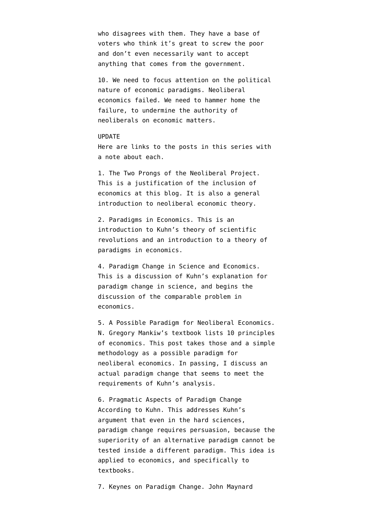who disagrees with them. They have a base of voters who think it's great to screw the poor and don't even necessarily want to accept anything that comes from the government.

10. We need to focus attention on the political nature of economic paradigms. Neoliberal economics failed. We need to hammer home the failure, to undermine the authority of neoliberals on economic matters.

## UPDATE

Here are links to the posts in this series with a note about each.

1. [The Two Prongs of the Neoliberal Project](https://www.emptywheel.net/2015/06/15/the-two-prongs-of-the-neoliberal-project/). This is a justification of the inclusion of economics at this blog. It is also a general introduction to neoliberal economic theory.

2. [Paradigms in Economics.](https://www.emptywheel.net/2015/06/16/paradigms-in-economics/) This is an introduction to Kuhn's theory of scientific revolutions and an introduction to a theory of paradigms in economics.

4. [Paradigm Change in Science and Economics](https://www.emptywheel.net/2015/06/17/paradigm-change-in-science-and-economics/). This is a discussion of Kuhn's explanation for paradigm change in science, and begins the discussion of the comparable problem in economics.

5. [A Possible Paradigm for Neoliberal Economics.](https://www.emptywheel.net/2015/06/19/a-possible-paradigm-of-neoliberal-economics/) N. Gregory Mankiw's textbook lists 10 principles of economics. This post takes those and a simple methodology as a possible paradigm for neoliberal economics. In passing, I discuss an actual paradigm change that seems to meet the requirements of Kuhn's analysis.

6. [Pragmatic Aspects of Paradigm Change](https://www.emptywheel.net/2015/06/21/pragmatic-aspects-of-paradigm-change-according-to-kuhn/) [According to Kuhn.](https://www.emptywheel.net/2015/06/21/pragmatic-aspects-of-paradigm-change-according-to-kuhn/) This addresses Kuhn's argument that even in the hard sciences, paradigm change requires persuasion, because the superiority of an alternative paradigm cannot be tested inside a different paradigm. This idea is applied to economics, and specifically to textbooks.

7. [Keynes on Paradigm Change](https://www.emptywheel.net/2015/06/23/keynes-on-paradigm-change/). John Maynard